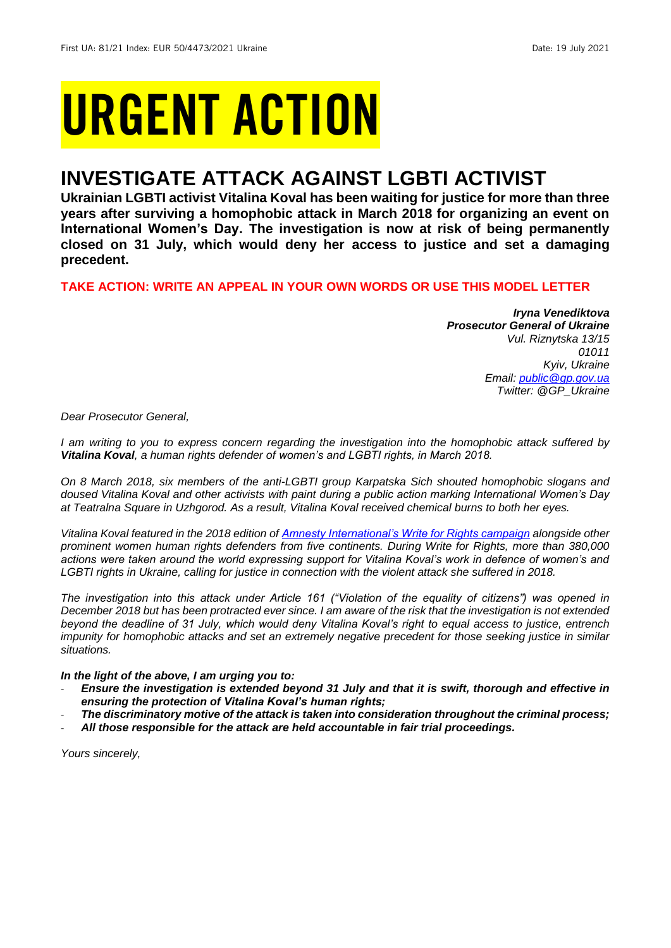# URGENT ACTION

## **INVESTIGATE ATTACK AGAINST LGBTI ACTIVIST**

**Ukrainian LGBTI activist Vitalina Koval has been waiting for justice for more than three years after surviving a homophobic attack in March 2018 for organizing an event on International Women's Day. The investigation is now at risk of being permanently closed on 31 July, which would deny her access to justice and set a damaging precedent.**

#### **TAKE ACTION: WRITE AN APPEAL IN YOUR OWN WORDS OR USE THIS MODEL LETTER**

*Iryna Venediktova Prosecutor General of Ukraine Vul. Riznytska 13/15 01011 Kyiv, Ukraine Email: [public@gp.gov.ua](mailto:public@gp.gov.ua) Twitter: @GP\_Ukraine*

*Dear Prosecutor General,*

*I am writing to you to express concern regarding the investigation into the homophobic attack suffered by Vitalina Koval, a human rights defender of women's and LGBTI rights, in March 2018.* 

*On 8 March 2018, six members of the anti-LGBTI group Karpatska Sich shouted homophobic slogans and doused Vitalina Koval and other activists with paint during a public action marking International Women's Day at Teatralna Square in Uzhgorod. As a result, Vitalina Koval received chemical burns to both her eyes.*

*Vitalina Koval featured in the 2018 edition of [Amnesty International's Write for Rights campaign](https://www.amnesty.org/en/latest/campaigns/2018/12/five-women-leading-the-struggle-for-human-rights-in-2018/) alongside other prominent women human rights defenders from five continents. During Write for Rights, more than 380,000 actions were taken around the world expressing support for Vitalina Koval's work in defence of women's and LGBTI rights in Ukraine, calling for justice in connection with the violent attack she suffered in 2018.*

*The investigation into this attack under Article 161 ("Violation of the equality of citizens") was opened in December 2018 but has been protracted ever since. I am aware of the risk that the investigation is not extended beyond the deadline of 31 July, which would deny Vitalina Koval's right to equal access to justice, entrench impunity for homophobic attacks and set an extremely negative precedent for those seeking justice in similar situations.*

#### *In the light of the above, I am urging you to:*

- *Ensure the investigation is extended beyond 31 July and that it is swift, thorough and effective in ensuring the protection of Vitalina Koval's human rights;*
- *The discriminatory motive of the attack is taken into consideration throughout the criminal process;*
- *All those responsible for the attack are held accountable in fair trial proceedings.*

*Yours sincerely,*